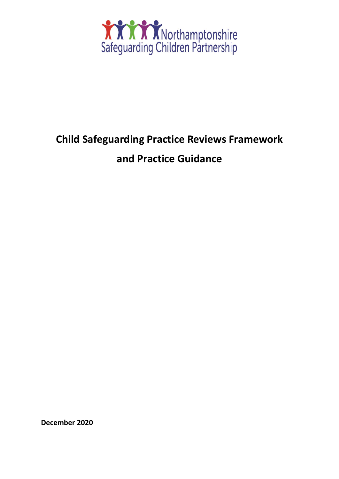

## **Child Safeguarding Practice Reviews Framework**

## **and Practice Guidance**

**December 2020**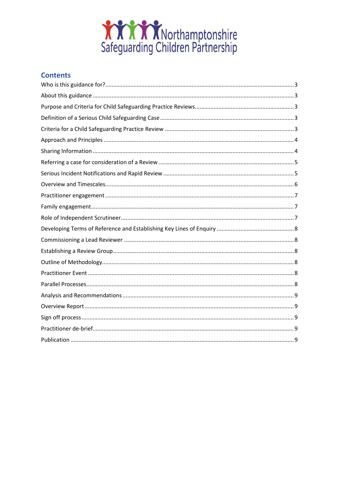

## **Contents**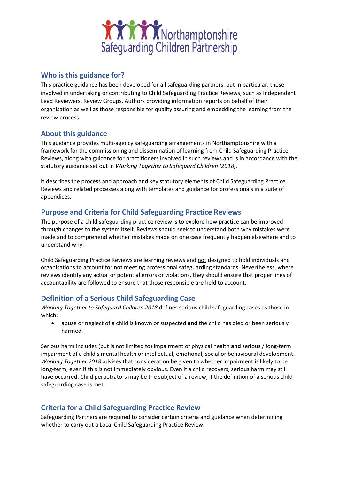

## <span id="page-2-0"></span>**Who is this guidance for?**

This practice guidance has been developed for all safeguarding partners, but in particular, those involved in undertaking or contributing to Child Safeguarding Practice Reviews, such as Independent Lead Reviewers, Review Groups, Authors providing information reports on behalf of their organisation as well as those responsible for quality assuring and embedding the learning from the review process.

## <span id="page-2-1"></span>**About this guidance**

This guidance provides multi-agency safeguarding arrangements in Northamptonshire with a framework for the commissioning and dissemination of learning from Child Safeguarding Practice Reviews, along with guidance for practitioners involved in such reviews and is in accordance with the statutory guidance set out in *Working Together to Safeguard Children (2018).*

It describes the process and approach and key statutory elements of Child Safeguarding Practice Reviews and related processes along with templates and guidance for professionals in a suite of appendices.

## <span id="page-2-2"></span>**Purpose and Criteria for Child Safeguarding Practice Reviews**

The purpose of a child safeguarding practice review is to explore how practice can be improved through changes to the system itself. Reviews should seek to understand both why mistakes were made and to comprehend whether mistakes made on one case frequently happen elsewhere and to understand why.

Child Safeguarding Practice Reviews are learning reviews and not designed to hold individuals and organisations to account for not meeting professional safeguarding standards. Nevertheless, where reviews identify any actual or potential errors or violations, they should ensure that proper lines of accountability are followed to ensure that those responsible are held to account.

## <span id="page-2-3"></span>**Definition of a Serious Child Safeguarding Case**

*Working Together to Safeguard Children 2018* defines serious child safeguarding cases as those in which:

• abuse or neglect of a child is known or suspected **and** the child has died or been seriously harmed.

Serious harm includes (but is not limited to) impairment of physical health **and** serious / long-term impairment of a child's mental health or intellectual, emotional, social or behavioural development. *Working Together 2018* advises that consideration be given to whether impairment is likely to be long-term, even if this is not immediately obvious. Even if a child recovers, serious harm may still have occurred. Child perpetrators may be the subject of a review, if the definition of a serious child safeguarding case is met.

## <span id="page-2-4"></span>**Criteria for a Child Safeguarding Practice Review**

Safeguarding Partners are required to consider certain criteria and guidance when determining whether to carry out a Local Child Safeguarding Practice Review.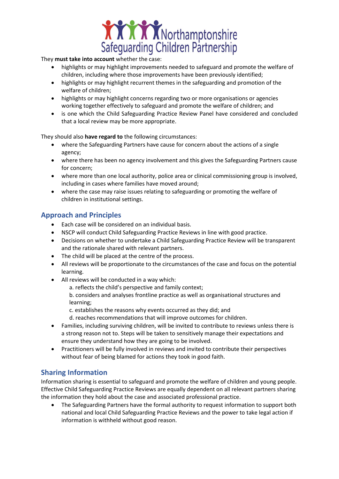

#### They **must take into account** whether the case:

- highlights or may highlight improvements needed to safeguard and promote the welfare of children, including where those improvements have been previously identified;
- highlights or may highlight recurrent themes in the safeguarding and promotion of the welfare of children;
- highlights or may highlight concerns regarding two or more organisations or agencies working together effectively to safeguard and promote the welfare of children; and
- is one which the Child Safeguarding Practice Review Panel have considered and concluded that a local review may be more appropriate.

They should also **have regard to** the following circumstances:

- where the Safeguarding Partners have cause for concern about the actions of a single agency;
- where there has been no agency involvement and this gives the Safeguarding Partners cause for concern;
- where more than one local authority, police area or clinical commissioning group is involved, including in cases where families have moved around;
- where the case may raise issues relating to safeguarding or promoting the welfare of children in institutional settings.

## <span id="page-3-0"></span>**Approach and Principles**

- Each case will be considered on an individual basis.
- NSCP will conduct Child Safeguarding Practice Reviews in line with good practice.
- Decisions on whether to undertake a Child Safeguarding Practice Review will be transparent and the rationale shared with relevant partners.
- The child will be placed at the centre of the process.
- All reviews will be proportionate to the circumstances of the case and focus on the potential learning.
- All reviews will be conducted in a way which:
	- a. reflects the child's perspective and family context;

b. considers and analyses frontline practice as well as organisational structures and learning;

- c. establishes the reasons why events occurred as they did; and
- d. reaches recommendations that will improve outcomes for children.
- Families, including surviving children, will be invited to contribute to reviews unless there is a strong reason not to. Steps will be taken to sensitively manage their expectations and ensure they understand how they are going to be involved.
- Practitioners will be fully involved in reviews and invited to contribute their perspectives without fear of being blamed for actions they took in good faith.

## <span id="page-3-1"></span>**Sharing Information**

Information sharing is essential to safeguard and promote the welfare of children and young people. Effective Child Safeguarding Practice Reviews are equally dependent on all relevant partners sharing the information they hold about the case and associated professional practice.

• The Safeguarding Partners have the formal authority to request information to support both national and local Child Safeguarding Practice Reviews and the power to take legal action if information is withheld without good reason.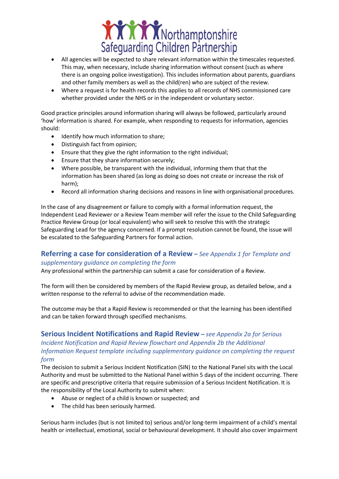# **Safeguarding Children Partnership**

- All agencies will be expected to share relevant information within the timescales requested. This may, when necessary, include sharing information without consent (such as where there is an ongoing police investigation). This includes information about parents, guardians and other family members as well as the child(ren) who are subject of the review.
- Where a request is for health records this applies to all records of NHS commissioned care whether provided under the NHS or in the independent or voluntary sector.

Good practice principles around information sharing will always be followed, particularly around 'how' information is shared. For example, when responding to requests for information, agencies should:

- Identify how much information to share;
- Distinguish fact from opinion;
- Ensure that they give the right information to the right individual;
- Ensure that they share information securely;
- Where possible, be transparent with the individual, informing them that that the information has been shared (as long as doing so does not create or increase the risk of harm);
- Record all information sharing decisions and reasons in line with organisational procedures.

In the case of any disagreement or failure to comply with a formal information request, the Independent Lead Reviewer or a Review Team member will refer the issue to the Child Safeguarding Practice Review Group (or local equivalent) who will seek to resolve this with the strategic Safeguarding Lead for the agency concerned. If a prompt resolution cannot be found, the issue will be escalated to the Safeguarding Partners for formal action.

## <span id="page-4-0"></span>**Referring a case for consideration of a Review –** *See Appendix 1 for Template and supplementary guidance on completing the form*

Any professional within the partnership can submit a case for consideration of a Review.

The form will then be considered by members of the Rapid Review group, as detailed below, and a written response to the referral to advise of the recommendation made.

The outcome may be that a Rapid Review is recommended or that the learning has been identified and can be taken forward through specified mechanisms.

## <span id="page-4-1"></span>**Serious Incident Notifications and Rapid Review –** *see Appendix 2a for Serious*

#### *Incident Notification and Rapid Review flowchart and Appendix 2b the Additional Information Request template including supplementary guidance on completing the request form*

The decision to submit a Serious Incident Notification (SIN) to the National Panel sits with the Local Authority and must be submitted to the National Panel within 5 days of the incident occurring. There are specific and prescriptive criteria that require submission of a Serious Incident Notification. It is the responsibility of the Local Authority to submit when:

- Abuse or neglect of a child is known or suspected; and
- The child has been seriously harmed.

Serious harm includes (but is not limited to) serious and/or long-term impairment of a child's mental health or intellectual, emotional, social or behavioural development. It should also cover impairment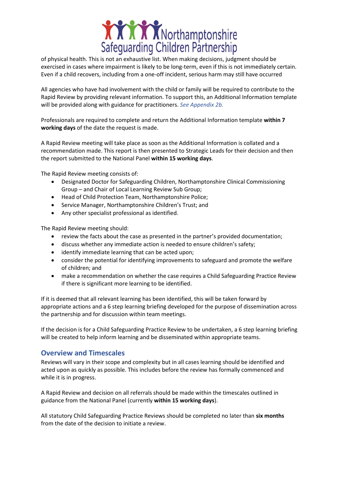

of physical health. This is not an exhaustive list. When making decisions, judgment should be exercised in cases where impairment is likely to be long-term, even if this is not immediately certain. Even if a child recovers, including from a one-off incident, serious harm may still have occurred

All agencies who have had involvement with the child or family will be required to contribute to the Rapid Review by providing relevant information. To support this, an Additional Information template will be provided along with guidance for practitioners. *See Appendix 2b.*

Professionals are required to complete and return the Additional Information template **within 7 working days** of the date the request is made.

A Rapid Review meeting will take place as soon as the Additional Information is collated and a recommendation made. This report is then presented to Strategic Leads for their decision and then the report submitted to the National Panel **within 15 working days**.

The Rapid Review meeting consists of:

- Designated Doctor for Safeguarding Children, Northamptonshire Clinical Commissioning Group – and Chair of Local Learning Review Sub Group;
- Head of Child Protection Team, Northamptonshire Police;
- Service Manager, Northamptonshire Children's Trust; and
- Any other specialist professional as identified.

The Rapid Review meeting should:

- review the facts about the case as presented in the partner's provided documentation;
- discuss whether any immediate action is needed to ensure children's safety;
- identify immediate learning that can be acted upon;
- consider the potential for identifying improvements to safeguard and promote the welfare of children; and
- make a recommendation on whether the case requires a Child Safeguarding Practice Review if there is significant more learning to be identified.

If it is deemed that all relevant learning has been identified, this will be taken forward by appropriate actions and a 6 step learning briefing developed for the purpose of dissemination across the partnership and for discussion within team meetings.

If the decision is for a Child Safeguarding Practice Review to be undertaken, a 6 step learning briefing will be created to help inform learning and be disseminated within appropriate teams.

## <span id="page-5-0"></span>**Overview and Timescales**

Reviews will vary in their scope and complexity but in all cases learning should be identified and acted upon as quickly as possible. This includes before the review has formally commenced and while it is in progress.

A Rapid Review and decision on all referrals should be made within the timescales outlined in guidance from the National Panel (currently **within 15 working days**).

All statutory Child Safeguarding Practice Reviews should be completed no later than **six months**  from the date of the decision to initiate a review.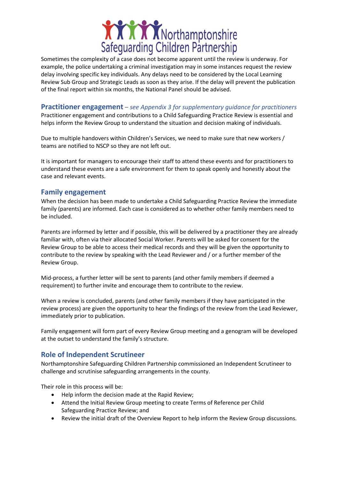# Sometimes the complexity of a case does not become apparent until the review is underway. For

example, the police undertaking a criminal investigation may in some instances request the review delay involving specific key individuals. Any delays need to be considered by the Local Learning Review Sub Group and Strategic Leads as soon as they arise. If the delay will prevent the publication of the final report within six months, the National Panel should be advised.

## <span id="page-6-0"></span>**Practitioner engagement** – *see Appendix 3 for supplementary guidance for practitioners*

Practitioner engagement and contributions to a Child Safeguarding Practice Review is essential and helps inform the Review Group to understand the situation and decision making of individuals.

Due to multiple handovers within Children's Services, we need to make sure that new workers / teams are notified to NSCP so they are not left out.

It is important for managers to encourage their staff to attend these events and for practitioners to understand these events are a safe environment for them to speak openly and honestly about the case and relevant events.

## <span id="page-6-1"></span>**Family engagement**

When the decision has been made to undertake a Child Safeguarding Practice Review the immediate family (parents) are informed. Each case is considered as to whether other family members need to be included.

Parents are informed by letter and if possible, this will be delivered by a practitioner they are already familiar with, often via their allocated Social Worker. Parents will be asked for consent for the Review Group to be able to access their medical records and they will be given the opportunity to contribute to the review by speaking with the Lead Reviewer and / or a further member of the Review Group.

Mid-process, a further letter will be sent to parents (and other family members if deemed a requirement) to further invite and encourage them to contribute to the review.

When a review is concluded, parents (and other family members if they have participated in the review process) are given the opportunity to hear the findings of the review from the Lead Reviewer, immediately prior to publication.

Family engagement will form part of every Review Group meeting and a genogram will be developed at the outset to understand the family's structure.

## <span id="page-6-2"></span>**Role of Independent Scrutineer**

Northamptonshire Safeguarding Children Partnership commissioned an Independent Scrutineer to challenge and scrutinise safeguarding arrangements in the county.

Their role in this process will be:

- Help inform the decision made at the Rapid Review;
- Attend the Initial Review Group meeting to create Terms of Reference per Child Safeguarding Practice Review; and
- Review the initial draft of the Overview Report to help inform the Review Group discussions.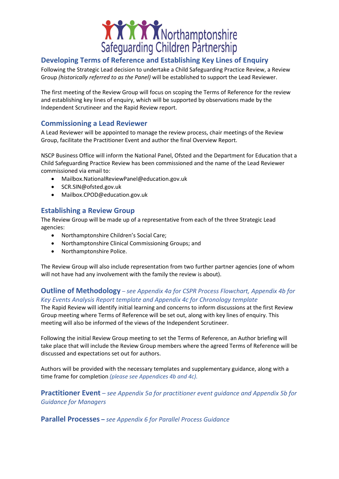# **Safeguarding Children Partnership**

## <span id="page-7-0"></span>**Developing Terms of Reference and Establishing Key Lines of Enquiry**

Following the Strategic Lead decision to undertake a Child Safeguarding Practice Review, a Review Group *(historically referred to as the Panel)* will be established to support the Lead Reviewer.

The first meeting of the Review Group will focus on scoping the Terms of Reference for the review and establishing key lines of enquiry, which will be supported by observations made by the Independent Scrutineer and the Rapid Review report.

## <span id="page-7-1"></span>**Commissioning a Lead Reviewer**

A Lead Reviewer will be appointed to manage the review process, chair meetings of the Review Group, facilitate the Practitioner Event and author the final Overview Report.

NSCP Business Office will inform the National Panel, Ofsted and the Department for Education that a Child Safeguarding Practice Review has been commissioned and the name of the Lead Reviewer commissioned via email to:

- Mailbox.NationalReviewPanel@education.gov.uk
- SCR.SIN@ofsted.gov.uk
- Mailbox.CPOD@education.gov.uk

## <span id="page-7-2"></span>**Establishing a Review Group**

The Review Group will be made up of a representative from each of the three Strategic Lead agencies:

- Northamptonshire Children's Social Care;
- Northamptonshire Clinical Commissioning Groups; and
- Northamptonshire Police.

The Review Group will also include representation from two further partner agencies (one of whom will not have had any involvement with the family the review is about).

### <span id="page-7-3"></span>**Outline of Methodology** *– see Appendix 4a for CSPR Process Flowchart, Appendix 4b for Key Events Analysis Report template and Appendix 4c for Chronology template*

The Rapid Review will identify initial learning and concerns to inform discussions at the first Review Group meeting where Terms of Reference will be set out, along with key lines of enquiry. This meeting will also be informed of the views of the Independent Scrutineer.

Following the initial Review Group meeting to set the Terms of Reference, an Author briefing will take place that will include the Review Group members where the agreed Terms of Reference will be discussed and expectations set out for authors.

Authors will be provided with the necessary templates and supplementary guidance, along with a time frame for completion *(please see Appendices 4b and 4c).*

<span id="page-7-4"></span>**Practitioner Event** *– see Appendix 5a for practitioner event guidance and Appendix 5b for Guidance for Managers*

<span id="page-7-5"></span>**Parallel Processes –** *see Appendix 6 for Parallel Process Guidance*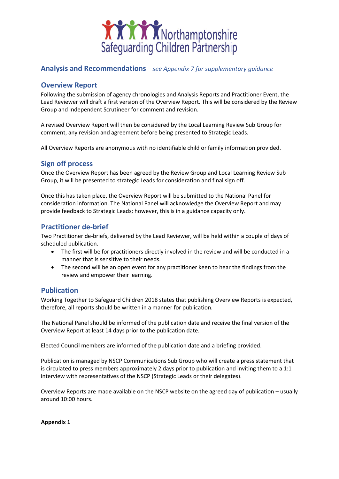

## <span id="page-8-0"></span>**Analysis and Recommendations** *– see Appendix 7 for supplementary guidance*

## <span id="page-8-1"></span>**Overview Report**

Following the submission of agency chronologies and Analysis Reports and Practitioner Event, the Lead Reviewer will draft a first version of the Overview Report. This will be considered by the Review Group and Independent Scrutineer for comment and revision.

A revised Overview Report will then be considered by the Local Learning Review Sub Group for comment, any revision and agreement before being presented to Strategic Leads.

<span id="page-8-2"></span>All Overview Reports are anonymous with no identifiable child or family information provided.

## **Sign off process**

Once the Overview Report has been agreed by the Review Group and Local Learning Review Sub Group, it will be presented to strategic Leads for consideration and final sign off.

Once this has taken place, the Overview Report will be submitted to the National Panel for consideration information. The National Panel will acknowledge the Overview Report and may provide feedback to Strategic Leads; however, this is in a guidance capacity only.

## <span id="page-8-3"></span>**Practitioner de-brief**

Two Practitioner de-briefs, delivered by the Lead Reviewer, will be held within a couple of days of scheduled publication.

- The first will be for practitioners directly involved in the review and will be conducted in a manner that is sensitive to their needs.
- The second will be an open event for any practitioner keen to hear the findings from the review and empower their learning.

## <span id="page-8-4"></span>**Publication**

Working Together to Safeguard Children 2018 states that publishing Overview Reports is expected, therefore, all reports should be written in a manner for publication.

The National Panel should be informed of the publication date and receive the final version of the Overview Report at least 14 days prior to the publication date.

Elected Council members are informed of the publication date and a briefing provided.

Publication is managed by NSCP Communications Sub Group who will create a press statement that is circulated to press members approximately 2 days prior to publication and inviting them to a 1:1 interview with representatives of the NSCP (Strategic Leads or their delegates).

Overview Reports are made available on the NSCP website on the agreed day of publication – usually around 10:00 hours.

**Appendix 1**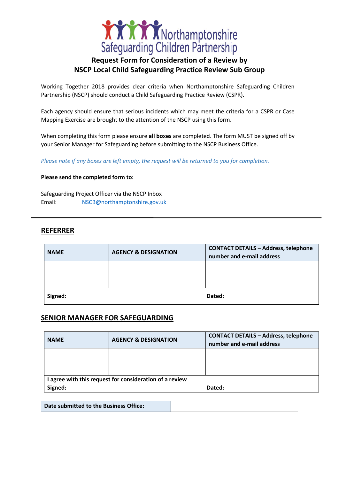# Safeguarding Children Partnership

## **Request Form for Consideration of a Review by NSCP Local Child Safeguarding Practice Review Sub Group**

Working Together 2018 provides clear criteria when Northamptonshire Safeguarding Children Partnership (NSCP) should conduct a Child Safeguarding Practice Review (CSPR).

Each agency should ensure that serious incidents which may meet the criteria for a CSPR or Case Mapping Exercise are brought to the attention of the NSCP using this form.

When completing this form please ensure **all boxes** are completed. The form MUST be signed off by your Senior Manager for Safeguarding before submitting to the NSCP Business Office.

*Please note if any boxes are left empty, the request will be returned to you for completion.*

#### **Please send the completed form to:**

Safeguarding Project Officer via the NSCP Inbox Email: [NSCB@northamptonshire.gov.uk](mailto:NSCB@northamptonshire.gov.uk)

## **REFERRER**

| <b>NAME</b> | <b>AGENCY &amp; DESIGNATION</b> | <b>CONTACT DETAILS - Address, telephone</b><br>number and e-mail address |
|-------------|---------------------------------|--------------------------------------------------------------------------|
|             |                                 |                                                                          |
|             |                                 |                                                                          |
| Signed:     |                                 | Dated:                                                                   |

## **SENIOR MANAGER FOR SAFEGUARDING**

| <b>NAME</b> | <b>AGENCY &amp; DESIGNATION</b>                         | <b>CONTACT DETAILS - Address, telephone</b><br>number and e-mail address |  |
|-------------|---------------------------------------------------------|--------------------------------------------------------------------------|--|
|             |                                                         |                                                                          |  |
|             |                                                         |                                                                          |  |
|             | I agree with this request for consideration of a review |                                                                          |  |
| Signed:     |                                                         | Dated:                                                                   |  |

| Date submitted to the Business Office: |  |
|----------------------------------------|--|
|                                        |  |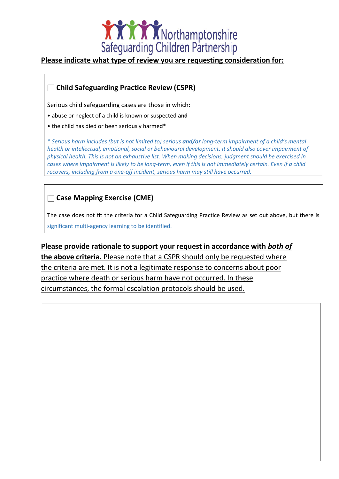

## **Please indicate what type of review you are requesting consideration for:**

## **Child Safeguarding Practice Review (CSPR)**

Serious child safeguarding cases are those in which:

- abuse or neglect of a child is known or suspected **and**
- the child has died or been seriously harmed\*

*\* Serious harm includes (but is not limited to) serious and/or long-term impairment of a child's mental health or intellectual, emotional, social or behavioural development. It should also cover impairment of physical health. This is not an exhaustive list. When making decisions, judgment should be exercised in cases where impairment is likely to be long-term, even if this is not immediately certain. Even if a child recovers, including from a one-off incident, serious harm may still have occurred.* 

**Case Mapping Exercise (CME)**

┃ ┃ ┃ The case does not fit the criteria for a Child Safeguarding Practice Review as set out above, but there is significant multi-agency learning to be identified.

**Please provide rationale to support your request in accordance with** *both of* **the above criteria.** Please note that a CSPR should only be requested where the criteria are met. It is not a legitimate response to concerns about poor practice where death or serious harm have not occurred. In these circumstances, the formal escalation protocols should be used.

**Brief information of the child, family composition and facts**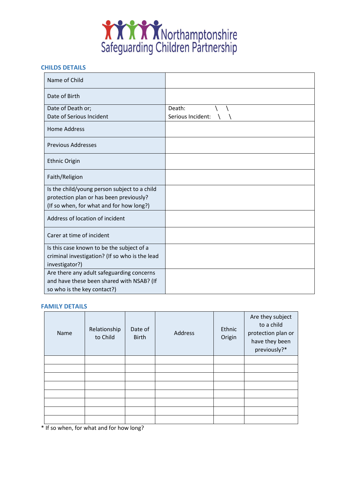

#### **CHILDS DETAILS**

| Name of Child                                                    |                   |
|------------------------------------------------------------------|-------------------|
| Date of Birth                                                    |                   |
| Date of Death or;                                                | Death:            |
| Date of Serious Incident                                         | Serious Incident: |
| <b>Home Address</b>                                              |                   |
| <b>Previous Addresses</b>                                        |                   |
| <b>Ethnic Origin</b>                                             |                   |
| Faith/Religion                                                   |                   |
| Is the child/young person subject to a child                     |                   |
| protection plan or has been previously?                          |                   |
| (If so when, for what and for how long?)                         |                   |
| Address of location of incident                                  |                   |
| Carer at time of incident                                        |                   |
| Is this case known to be the subject of a                        |                   |
| criminal investigation? (If so who is the lead<br>investigator?) |                   |
| Are there any adult safeguarding concerns                        |                   |
| and have these been shared with NSAB? (If                        |                   |
| so who is the key contact?)                                      |                   |

#### **FAMILY DETAILS**

| Name | Relationship<br>to Child | Date of<br><b>Birth</b> | Address | Ethnic<br>Origin | Are they subject<br>to a child<br>protection plan or<br>have they been<br>previously?* |
|------|--------------------------|-------------------------|---------|------------------|----------------------------------------------------------------------------------------|
|      |                          |                         |         |                  |                                                                                        |
|      |                          |                         |         |                  |                                                                                        |
|      |                          |                         |         |                  |                                                                                        |
|      |                          |                         |         |                  |                                                                                        |
|      |                          |                         |         |                  |                                                                                        |
|      |                          |                         |         |                  |                                                                                        |
|      |                          |                         |         |                  |                                                                                        |
|      |                          |                         |         |                  |                                                                                        |

\* If so when, for what and for how long?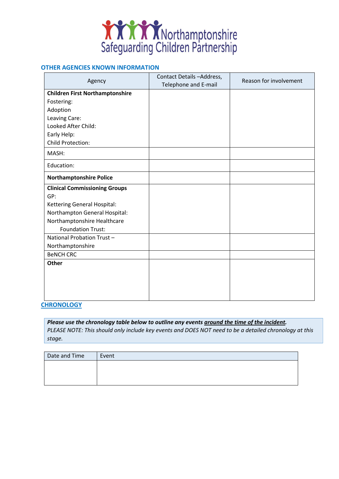

#### **OTHER AGENCIES KNOWN INFORMATION**

| Agency                                 | Contact Details - Address,<br>Telephone and E-mail | Reason for involvement |
|----------------------------------------|----------------------------------------------------|------------------------|
| <b>Children First Northamptonshire</b> |                                                    |                        |
| Fostering:                             |                                                    |                        |
| Adoption                               |                                                    |                        |
| Leaving Care:                          |                                                    |                        |
| Looked After Child:                    |                                                    |                        |
| Early Help:                            |                                                    |                        |
| <b>Child Protection:</b>               |                                                    |                        |
| MASH:                                  |                                                    |                        |
| Education:                             |                                                    |                        |
| <b>Northamptonshire Police</b>         |                                                    |                        |
| <b>Clinical Commissioning Groups</b>   |                                                    |                        |
| GP:                                    |                                                    |                        |
| Kettering General Hospital:            |                                                    |                        |
| Northampton General Hospital:          |                                                    |                        |
| Northamptonshire Healthcare            |                                                    |                        |
| <b>Foundation Trust:</b>               |                                                    |                        |
| National Probation Trust-              |                                                    |                        |
| Northamptonshire                       |                                                    |                        |
| <b>BeNCH CRC</b>                       |                                                    |                        |
| <b>Other</b>                           |                                                    |                        |
|                                        |                                                    |                        |
|                                        |                                                    |                        |
|                                        |                                                    |                        |
|                                        |                                                    |                        |

#### **CHRONOLOGY**

*Please use the chronology table below to outline any events around the time of the incident. PLEASE NOTE: This should only include key events and DOES NOT need to be a detailed chronology at this stage.*

| Date and Time | Event |
|---------------|-------|
|               |       |
|               |       |
|               |       |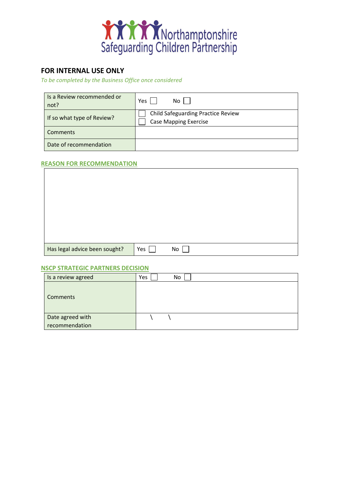

## **FOR INTERNAL USE ONLY**

*To be completed by the Business Office once considered*

| Is a Review recommended or<br>not? | No l<br>Yes                                                               |
|------------------------------------|---------------------------------------------------------------------------|
| If so what type of Review?         | <b>Child Safeguarding Practice Review</b><br><b>Case Mapping Exercise</b> |
| Comments                           |                                                                           |
| Date of recommendation             |                                                                           |

#### **REASON FOR RECOMMENDATION**

| Has legal advice been sought? | Yes $\Box$ | No |
|-------------------------------|------------|----|

#### **NSCP STRATEGIC PARTNERS DECISION**

| Is a review agreed | Yes | No. |  |
|--------------------|-----|-----|--|
| Comments           |     |     |  |
| Date agreed with   |     |     |  |
| recommendation     |     |     |  |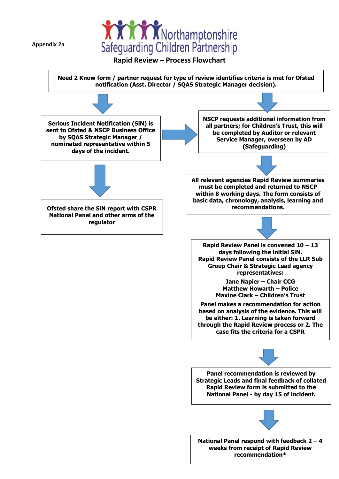**Appendix 2a**



**Rapid Review – Process Flowchart**

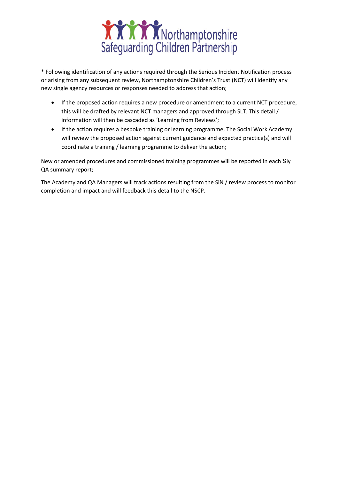

\* Following identification of any actions required through the Serious Incident Notification process or arising from any subsequent review, Northamptonshire Children's Trust (NCT) will identify any new single agency resources or responses needed to address that action;

- If the proposed action requires a new procedure or amendment to a current NCT procedure, this will be drafted by relevant NCT managers and approved through SLT. This detail / information will then be cascaded as 'Learning from Reviews';
- If the action requires a bespoke training or learning programme, The Social Work Academy will review the proposed action against current guidance and expected practice(s) and will coordinate a training / learning programme to deliver the action;

New or amended procedures and commissioned training programmes will be reported in each ¼ly QA summary report;

The Academy and QA Managers will track actions resulting from the SiN / review process to monitor completion and impact and will feedback this detail to the NSCP.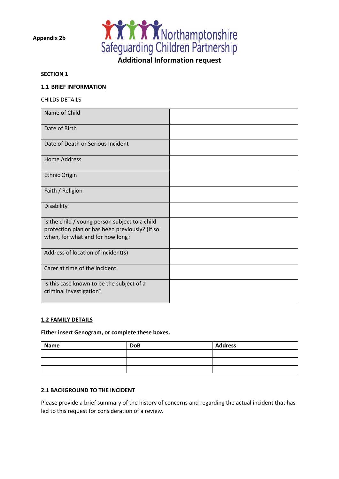**Appendix 2b**



#### **SECTION 1**

#### **1.1 BRIEF INFORMATION**

CHILDS DETAILS

| Name of Child                                                                                                                        |  |
|--------------------------------------------------------------------------------------------------------------------------------------|--|
| Date of Birth                                                                                                                        |  |
| Date of Death or Serious Incident                                                                                                    |  |
| <b>Home Address</b>                                                                                                                  |  |
| <b>Ethnic Origin</b>                                                                                                                 |  |
| Faith / Religion                                                                                                                     |  |
| Disability                                                                                                                           |  |
| Is the child / young person subject to a child<br>protection plan or has been previously? (If so<br>when, for what and for how long? |  |
| Address of location of incident(s)                                                                                                   |  |
| Carer at time of the incident                                                                                                        |  |
| Is this case known to be the subject of a<br>criminal investigation?                                                                 |  |

#### **1.2 FAMILY DETAILS**

**Either insert Genogram, or complete these boxes.**

| <b>Name</b> | <b>DoB</b> | <b>Address</b> |
|-------------|------------|----------------|
|             |            |                |
|             |            |                |
|             |            |                |

#### **2.1 BACKGROUND TO THE INCIDENT**

Please provide a brief summary of the history of concerns and regarding the actual incident that has led to this request for consideration of a review.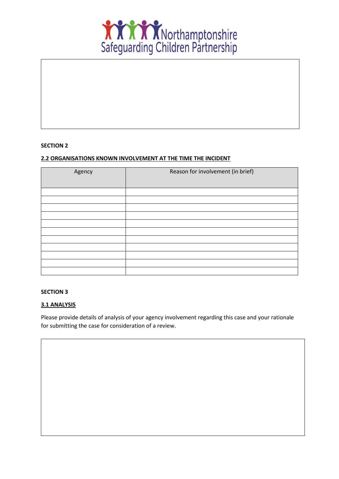

#### **SECTION 2**

#### **2.2 ORGANISATIONS KNOWN INVOLVEMENT AT THE TIME THE INCIDENT**

| Agency | Reason for involvement (in brief) |
|--------|-----------------------------------|
|        |                                   |
|        |                                   |
|        |                                   |
|        |                                   |
|        |                                   |
|        |                                   |
|        |                                   |
|        |                                   |
|        |                                   |
|        |                                   |
|        |                                   |

#### **SECTION 3**

#### **3.1 ANALYSIS**

Please provide details of analysis of your agency involvement regarding this case and your rationale for submitting the case for consideration of a review.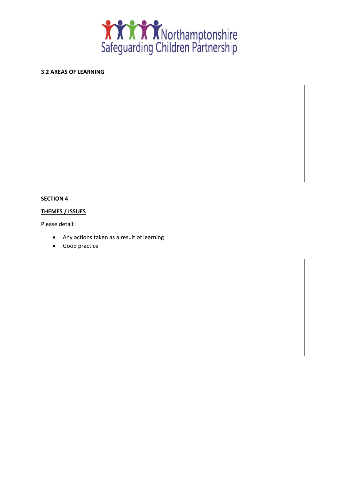

#### **3.2 AREAS OF LEARNING**

#### **SECTION 4**

#### **THEMES / ISSUES**

Please detail:

- Any actions taken as a result of learning
- Good practice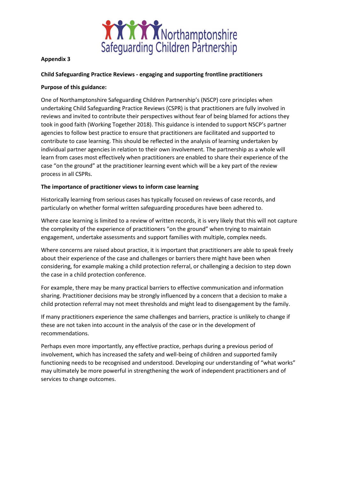

#### **Appendix 3**

#### **Child Safeguarding Practice Reviews - engaging and supporting frontline practitioners**

#### **Purpose of this guidance:**

One of Northamptonshire Safeguarding Children Partnership's (NSCP) core principles when undertaking Child Safeguarding Practice Reviews (CSPR) is that practitioners are fully involved in reviews and invited to contribute their perspectives without fear of being blamed for actions they took in good faith (Working Together 2018). This guidance is intended to support NSCP's partner agencies to follow best practice to ensure that practitioners are facilitated and supported to contribute to case learning. This should be reflected in the analysis of learning undertaken by individual partner agencies in relation to their own involvement. The partnership as a whole will learn from cases most effectively when practitioners are enabled to share their experience of the case "on the ground" at the practitioner learning event which will be a key part of the review process in all CSPRs.

#### **The importance of practitioner views to inform case learning**

Historically learning from serious cases has typically focused on reviews of case records, and particularly on whether formal written safeguarding procedures have been adhered to.

Where case learning is limited to a review of written records, it is very likely that this will not capture the complexity of the experience of practitioners "on the ground" when trying to maintain engagement, undertake assessments and support families with multiple, complex needs.

Where concerns are raised about practice, it is important that practitioners are able to speak freely about their experience of the case and challenges or barriers there might have been when considering, for example making a child protection referral, or challenging a decision to step down the case in a child protection conference.

For example, there may be many practical barriers to effective communication and information sharing. Practitioner decisions may be strongly influenced by a concern that a decision to make a child protection referral may not meet thresholds and might lead to disengagement by the family.

If many practitioners experience the same challenges and barriers, practice is unlikely to change if these are not taken into account in the analysis of the case or in the development of recommendations.

Perhaps even more importantly, any effective practice, perhaps during a previous period of involvement, which has increased the safety and well-being of children and supported family functioning needs to be recognised and understood. Developing our understanding of "what works" may ultimately be more powerful in strengthening the work of independent practitioners and of services to change outcomes.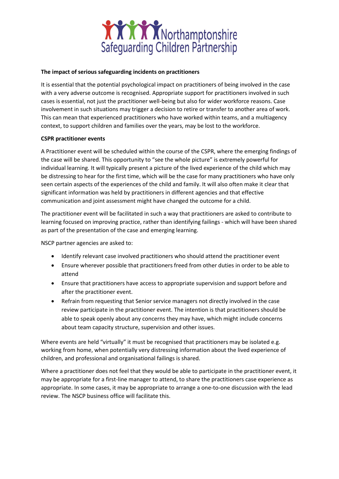

#### **The impact of serious safeguarding incidents on practitioners**

It is essential that the potential psychological impact on practitioners of being involved in the case with a very adverse outcome is recognised. Appropriate support for practitioners involved in such cases is essential, not just the practitioner well-being but also for wider workforce reasons. Case involvement in such situations may trigger a decision to retire or transfer to another area of work. This can mean that experienced practitioners who have worked within teams, and a multiagency context, to support children and families over the years, may be lost to the workforce.

#### **CSPR practitioner events**

A Practitioner event will be scheduled within the course of the CSPR, where the emerging findings of the case will be shared. This opportunity to "see the whole picture" is extremely powerful for individual learning. It will typically present a picture of the lived experience of the child which may be distressing to hear for the first time, which will be the case for many practitioners who have only seen certain aspects of the experiences of the child and family. It will also often make it clear that significant information was held by practitioners in different agencies and that effective communication and joint assessment might have changed the outcome for a child.

The practitioner event will be facilitated in such a way that practitioners are asked to contribute to learning focused on improving practice, rather than identifying failings - which will have been shared as part of the presentation of the case and emerging learning.

NSCP partner agencies are asked to:

- Identify relevant case involved practitioners who should attend the practitioner event
- Ensure wherever possible that practitioners freed from other duties in order to be able to attend
- Ensure that practitioners have access to appropriate supervision and support before and after the practitioner event.
- Refrain from requesting that Senior service managers not directly involved in the case review participate in the practitioner event. The intention is that practitioners should be able to speak openly about any concerns they may have, which might include concerns about team capacity structure, supervision and other issues.

Where events are held "virtually" it must be recognised that practitioners may be isolated e.g. working from home, when potentially very distressing information about the lived experience of children, and professional and organisational failings is shared.

Where a practitioner does not feel that they would be able to participate in the practitioner event, it may be appropriate for a first-line manager to attend, to share the practitioners case experience as appropriate. In some cases, it may be appropriate to arrange a one-to-one discussion with the lead review. The NSCP business office will facilitate this.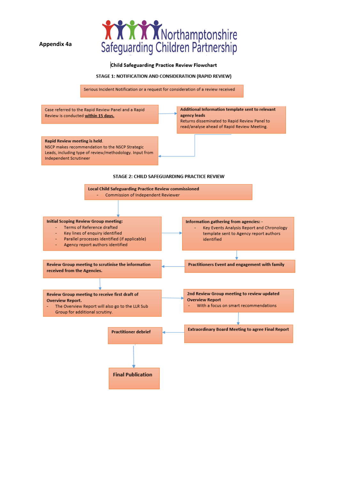



#### Child Safeguarding Practice Review Flowchart

#### STAGE 1: NOTIFICATION AND CONSIDERATION (RAPID REVIEW)

Serious Incident Notification or a request for consideration of a review received

Additional Information template sent to relevant Case referred to the Rapid Review Panel and a Rapid agency leads Review is conducted within 15 days. Returns disseminated to Rapid Review Panel to read/analyse ahead of Rapid Review Meeting. Rapid Review meeting is held. NSCP makes recommendation to the NSCP Strategic Leads, including type of review/methodology. Input from Independent Scrutineer STAGE 2: CHILD SAFEGUARDING PRACTICE REVIEW **Local Child Safeguarding Practice Review commissioned** Commission of Independent Reviewer **Initial Scoping Review Group meeting:** Information gathering from agencies: -Terms of Reference drafted Key Events Analysis Report and Chronology  $\sim$ Key lines of enquiry identified template sent to Agency report authors Parallel processes identified (if applicable) identified Agency report authors identified Review Group meeting to scrutinise the information Practitioners Event and engagement with family received from the Agencies. 2nd Review Group meeting to review updated Review Group meeting to receive first draft of **Overview Report Overview Report.** With a focus on smart recommendations The Overview Report will also go to the LLR Sub Group for additional scrutiny. **Extraordinary Board Meeting to agree Final Report Practitioner debrief Final Publication**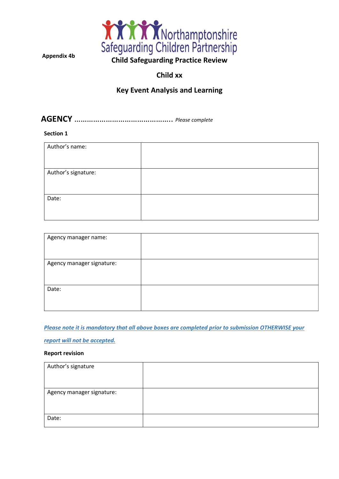

**Appendix 4b**

## **Child xx**

## **Key Event Analysis and Learning**

## **AGENCY** ……………………………………….. *Please complete*

#### **Section 1**

| Author's name:      |  |
|---------------------|--|
|                     |  |
| Author's signature: |  |
|                     |  |
| Date:               |  |
|                     |  |

| Agency manager name:      |  |
|---------------------------|--|
|                           |  |
| Agency manager signature: |  |
|                           |  |
|                           |  |
| Date:                     |  |
|                           |  |
|                           |  |

*Please note it is mandatory that all above boxes are completed prior to submission OTHERWISE your* 

*report will not be accepted.*

#### **Report revision**

| Author's signature        |  |
|---------------------------|--|
|                           |  |
|                           |  |
| Agency manager signature: |  |
|                           |  |
|                           |  |
| Date:                     |  |
|                           |  |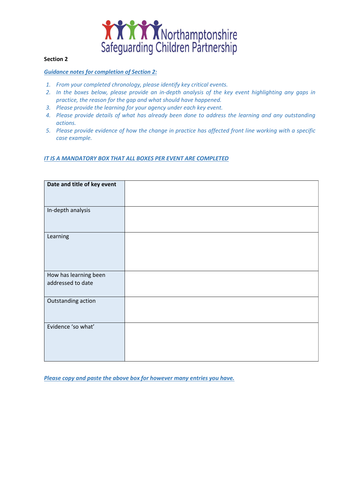

#### **Section 2**

#### *Guidance notes for completion of Section 2:*

- *1. From your completed chronology, please identify key critical events.*
- *2. In the boxes below, please provide an in-depth analysis of the key event highlighting any gaps in practice, the reason for the gap and what should have happened.*
- *3. Please provide the learning for your agency under each key event.*
- *4. Please provide details of what has already been done to address the learning and any outstanding actions.*
- *5. Please provide evidence of how the change in practice has affected front line working with a specific case example.*

#### *IT IS A MANDATORY BOX THAT ALL BOXES PER EVENT ARE COMPLETED*

| Date and title of key event |  |
|-----------------------------|--|
|                             |  |
|                             |  |
|                             |  |
| In-depth analysis           |  |
|                             |  |
|                             |  |
|                             |  |
| Learning                    |  |
|                             |  |
|                             |  |
|                             |  |
|                             |  |
|                             |  |
|                             |  |
| How has learning been       |  |
| addressed to date           |  |
|                             |  |
|                             |  |
| Outstanding action          |  |
|                             |  |
|                             |  |
|                             |  |
| Evidence 'so what'          |  |
|                             |  |
|                             |  |
|                             |  |
|                             |  |
|                             |  |

*Please copy and paste the above box for however many entries you have.*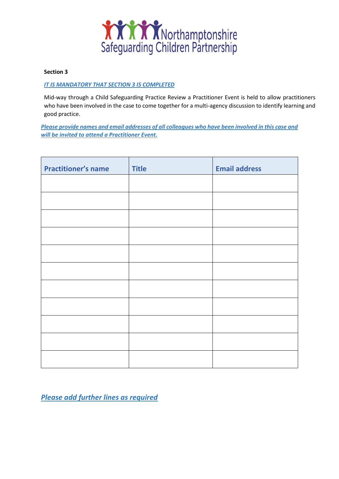

#### **Section 3**

#### *IT IS MANDATORY THAT SECTION 3 IS COMPLETED*

Mid-way through a Child Safeguarding Practice Review a Practitioner Event is held to allow practitioners who have been involved in the case to come together for a multi-agency discussion to identify learning and good practice.

*Please provide names and email addresses of all colleagues who have been involved in this case and will be invited to attend a Practitioner Event.*

| <b>Practitioner's name</b> | <b>Title</b> | <b>Email address</b> |
|----------------------------|--------------|----------------------|
|                            |              |                      |
|                            |              |                      |
|                            |              |                      |
|                            |              |                      |
|                            |              |                      |
|                            |              |                      |
|                            |              |                      |
|                            |              |                      |
|                            |              |                      |
|                            |              |                      |
|                            |              |                      |

*Please add further lines as required*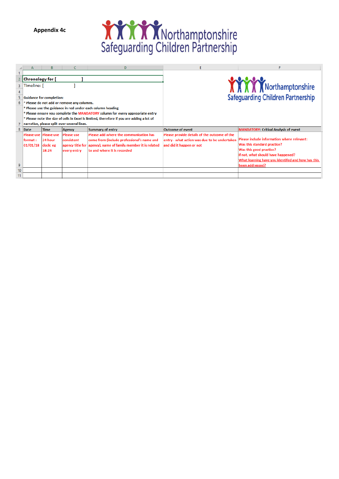**Appendix 4c**



|    |                                                                                                                                          | R                             |                                                | D                                                                                                                                                                                    | E                                                                                                                        | F                                                                                                                                                                                               |  |
|----|------------------------------------------------------------------------------------------------------------------------------------------|-------------------------------|------------------------------------------------|--------------------------------------------------------------------------------------------------------------------------------------------------------------------------------------|--------------------------------------------------------------------------------------------------------------------------|-------------------------------------------------------------------------------------------------------------------------------------------------------------------------------------------------|--|
|    | Chronology for [                                                                                                                         |                               |                                                |                                                                                                                                                                                      |                                                                                                                          |                                                                                                                                                                                                 |  |
|    | Timeline: [                                                                                                                              |                               |                                                |                                                                                                                                                                                      | <b>ANA A</b> Northamptonshire<br>Safeguarding Children Partnership                                                       |                                                                                                                                                                                                 |  |
| 4  | Guidance for completion:                                                                                                                 |                               |                                                |                                                                                                                                                                                      |                                                                                                                          |                                                                                                                                                                                                 |  |
| 6  | * Please do not add or remove any columns.                                                                                               |                               |                                                |                                                                                                                                                                                      |                                                                                                                          |                                                                                                                                                                                                 |  |
|    | * Please use the guidance in red under each column heading                                                                               |                               |                                                |                                                                                                                                                                                      |                                                                                                                          |                                                                                                                                                                                                 |  |
|    | * Please ensure you complete the MANDATORY column for every appropriate entry                                                            |                               |                                                |                                                                                                                                                                                      |                                                                                                                          |                                                                                                                                                                                                 |  |
|    | * Please note the size of cells in Excel is limited, therefore if you are adding a lot of<br>narrative, please split over several lines. |                               |                                                |                                                                                                                                                                                      |                                                                                                                          |                                                                                                                                                                                                 |  |
|    | Date                                                                                                                                     | <b>Time</b>                   | <b>Agency</b>                                  | Summary of entry                                                                                                                                                                     | <b>Outcome of event</b>                                                                                                  | <b>MANDATORY: Critical Analysis of event</b>                                                                                                                                                    |  |
| 9  | Please use Please use<br>format :<br>01/01/18                                                                                            | 24 hour<br>clock: eg<br>18:24 | <b>Please use</b><br>consistent<br>every entry | Please add where the communication has<br>come from (include professional's name and<br>agency title for agency), name of family member it is related<br>to and where it is recorded | Please provide details of the outcome of the<br>entry - what action was due to be undertaken<br>and did it happen or not | Please include information where relevant:<br>Was this standard practice?<br>Was this good practice?<br>If not, what should have happened?<br>What learning have you identifed and how has this |  |
| 10 |                                                                                                                                          |                               |                                                |                                                                                                                                                                                      |                                                                                                                          | been addressed?                                                                                                                                                                                 |  |
|    |                                                                                                                                          |                               |                                                |                                                                                                                                                                                      |                                                                                                                          |                                                                                                                                                                                                 |  |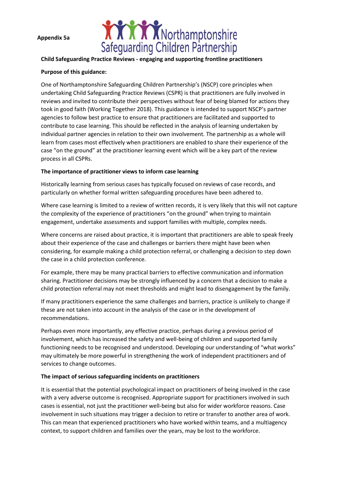**Appendix 5a**



#### **Child Safeguarding Practice Reviews - engaging and supporting frontline practitioners**

#### **Purpose of this guidance:**

One of Northamptonshire Safeguarding Children Partnership's (NSCP) core principles when undertaking Child Safeguarding Practice Reviews (CSPR) is that practitioners are fully involved in reviews and invited to contribute their perspectives without fear of being blamed for actions they took in good faith (Working Together 2018). This guidance is intended to support NSCP's partner agencies to follow best practice to ensure that practitioners are facilitated and supported to contribute to case learning. This should be reflected in the analysis of learning undertaken by individual partner agencies in relation to their own involvement. The partnership as a whole will learn from cases most effectively when practitioners are enabled to share their experience of the case "on the ground" at the practitioner learning event which will be a key part of the review process in all CSPRs.

#### **The importance of practitioner views to inform case learning**

Historically learning from serious cases has typically focused on reviews of case records, and particularly on whether formal written safeguarding procedures have been adhered to.

Where case learning is limited to a review of written records, it is very likely that this will not capture the complexity of the experience of practitioners "on the ground" when trying to maintain engagement, undertake assessments and support families with multiple, complex needs.

Where concerns are raised about practice, it is important that practitioners are able to speak freely about their experience of the case and challenges or barriers there might have been when considering, for example making a child protection referral, or challenging a decision to step down the case in a child protection conference.

For example, there may be many practical barriers to effective communication and information sharing. Practitioner decisions may be strongly influenced by a concern that a decision to make a child protection referral may not meet thresholds and might lead to disengagement by the family.

If many practitioners experience the same challenges and barriers, practice is unlikely to change if these are not taken into account in the analysis of the case or in the development of recommendations.

Perhaps even more importantly, any effective practice, perhaps during a previous period of involvement, which has increased the safety and well-being of children and supported family functioning needs to be recognised and understood. Developing our understanding of "what works" may ultimately be more powerful in strengthening the work of independent practitioners and of services to change outcomes.

#### **The impact of serious safeguarding incidents on practitioners**

It is essential that the potential psychological impact on practitioners of being involved in the case with a very adverse outcome is recognised. Appropriate support for practitioners involved in such cases is essential, not just the practitioner well-being but also for wider workforce reasons. Case involvement in such situations may trigger a decision to retire or transfer to another area of work. This can mean that experienced practitioners who have worked within teams, and a multiagency context, to support children and families over the years, may be lost to the workforce.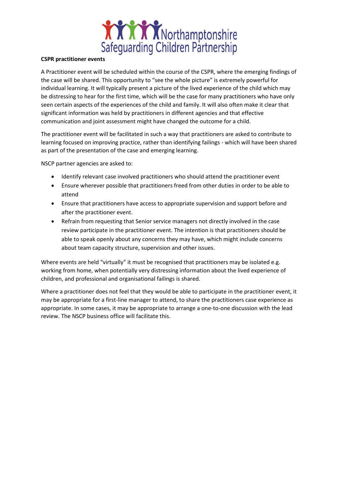

#### **CSPR practitioner events**

A Practitioner event will be scheduled within the course of the CSPR, where the emerging findings of the case will be shared. This opportunity to "see the whole picture" is extremely powerful for individual learning. It will typically present a picture of the lived experience of the child which may be distressing to hear for the first time, which will be the case for many practitioners who have only seen certain aspects of the experiences of the child and family. It will also often make it clear that significant information was held by practitioners in different agencies and that effective communication and joint assessment might have changed the outcome for a child.

The practitioner event will be facilitated in such a way that practitioners are asked to contribute to learning focused on improving practice, rather than identifying failings - which will have been shared as part of the presentation of the case and emerging learning.

NSCP partner agencies are asked to:

- Identify relevant case involved practitioners who should attend the practitioner event
- Ensure wherever possible that practitioners freed from other duties in order to be able to attend
- Ensure that practitioners have access to appropriate supervision and support before and after the practitioner event.
- Refrain from requesting that Senior service managers not directly involved in the case review participate in the practitioner event. The intention is that practitioners should be able to speak openly about any concerns they may have, which might include concerns about team capacity structure, supervision and other issues.

Where events are held "virtually" it must be recognised that practitioners may be isolated e.g. working from home, when potentially very distressing information about the lived experience of children, and professional and organisational failings is shared.

Where a practitioner does not feel that they would be able to participate in the practitioner event, it may be appropriate for a first-line manager to attend, to share the practitioners case experience as appropriate. In some cases, it may be appropriate to arrange a one-to-one discussion with the lead review. The NSCP business office will facilitate this.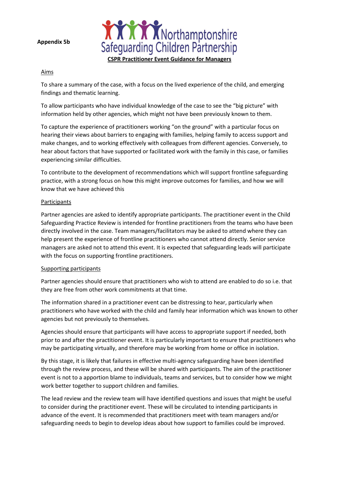**Appendix 5b**



#### Aims

To share a summary of the case, with a focus on the lived experience of the child, and emerging findings and thematic learning.

To allow participants who have individual knowledge of the case to see the "big picture" with information held by other agencies, which might not have been previously known to them.

To capture the experience of practitioners working "on the ground" with a particular focus on hearing their views about barriers to engaging with families, helping family to access support and make changes, and to working effectively with colleagues from different agencies. Conversely, to hear about factors that have supported or facilitated work with the family in this case, or families experiencing similar difficulties.

To contribute to the development of recommendations which will support frontline safeguarding practice, with a strong focus on how this might improve outcomes for families, and how we will know that we have achieved this

#### Participants

Partner agencies are asked to identify appropriate participants. The practitioner event in the Child Safeguarding Practice Review is intended for frontline practitioners from the teams who have been directly involved in the case. Team managers/facilitators may be asked to attend where they can help present the experience of frontline practitioners who cannot attend directly. Senior service managers are asked not to attend this event. It is expected that safeguarding leads will participate with the focus on supporting frontline practitioners.

#### Supporting participants

Partner agencies should ensure that practitioners who wish to attend are enabled to do so i.e. that they are free from other work commitments at that time.

The information shared in a practitioner event can be distressing to hear, particularly when practitioners who have worked with the child and family hear information which was known to other agencies but not previously to themselves.

Agencies should ensure that participants will have access to appropriate support if needed, both prior to and after the practitioner event. It is particularly important to ensure that practitioners who may be participating virtually, and therefore may be working from home or office in isolation.

By this stage, it is likely that failures in effective multi-agency safeguarding have been identified through the review process, and these will be shared with participants. The aim of the practitioner event is not to a apportion blame to individuals, teams and services, but to consider how we might work better together to support children and families.

The lead review and the review team will have identified questions and issues that might be useful to consider during the practitioner event. These will be circulated to intending participants in advance of the event. It is recommended that practitioners meet with team managers and/or safeguarding needs to begin to develop ideas about how support to families could be improved.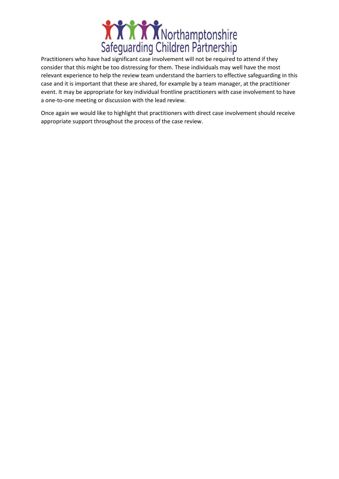

Practitioners who have had significant case involvement will not be required to attend if they consider that this might be too distressing for them. These individuals may well have the most relevant experience to help the review team understand the barriers to effective safeguarding in this case and it is important that these are shared, for example by a team manager, at the practitioner event. It may be appropriate for key individual frontline practitioners with case involvement to have a one-to-one meeting or discussion with the lead review.

Once again we would like to highlight that practitioners with direct case involvement should receive appropriate support throughout the process of the case review.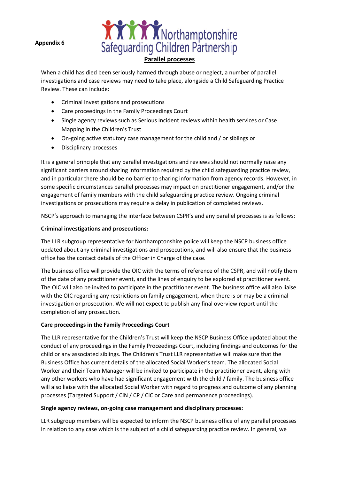#### **Appendix 6**



When a child has died been seriously harmed through abuse or neglect, a number of parallel investigations and case reviews may need to take place, alongside a Child Safeguarding Practice Review. These can include:

- Criminal investigations and prosecutions
- Care proceedings in the Family Proceedings Court
- Single agency reviews such as Serious Incident reviews within health services or Case Mapping in the Children's Trust
- On-going active statutory case management for the child and / or siblings or
- Disciplinary processes

It is a general principle that any parallel investigations and reviews should not normally raise any significant barriers around sharing information required by the child safeguarding practice review, and in particular there should be no barrier to sharing information from agency records. However, in some specific circumstances parallel processes may impact on practitioner engagement, and/or the engagement of family members with the child safeguarding practice review. Ongoing criminal investigations or prosecutions may require a delay in publication of completed reviews.

NSCP's approach to managing the interface between CSPR's and any parallel processes is as follows:

#### **Criminal investigations and prosecutions:**

The LLR subgroup representative for Northamptonshire police will keep the NSCP business office updated about any criminal investigations and prosecutions, and will also ensure that the business office has the contact details of the Officer in Charge of the case.

The business office will provide the OIC with the terms of reference of the CSPR, and will notify them of the date of any practitioner event, and the lines of enquiry to be explored at practitioner event. The OIC will also be invited to participate in the practitioner event. The business office will also liaise with the OIC regarding any restrictions on family engagement, when there is or may be a criminal investigation or prosecution. We will not expect to publish any final overview report until the completion of any prosecution.

#### **Care proceedings in the Family Proceedings Court**

The LLR representative for the Children's Trust will keep the NSCP Business Office updated about the conduct of any proceedings in the Family Proceedings Court, including findings and outcomes for the child or any associated siblings. The Children's Trust LLR representative will make sure that the Business Office has current details of the allocated Social Worker's team. The allocated Social Worker and their Team Manager will be invited to participate in the practitioner event, along with any other workers who have had significant engagement with the child / family. The business office will also liaise with the allocated Social Worker with regard to progress and outcome of any planning processes (Targeted Support / CiN / CP / CiC or Care and permanence proceedings).

#### **Single agency reviews, on-going case management and disciplinary processes:**

LLR subgroup members will be expected to inform the NSCP business office of any parallel processes in relation to any case which is the subject of a child safeguarding practice review. In general, we